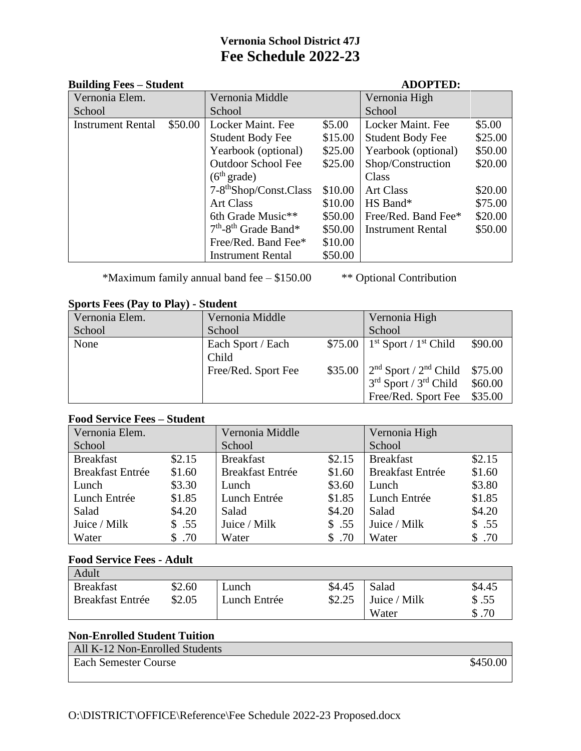# **Vernonia School District 47J Fee Schedule 2022-23**

#### **Building Fees – Student ADOPTED:**

| Vernonia Elem.           |         | Vernonia Middle                    |         | Vernonia High            |         |
|--------------------------|---------|------------------------------------|---------|--------------------------|---------|
| School                   |         | School                             |         | School                   |         |
| <b>Instrument Rental</b> | \$50.00 | Locker Maint. Fee                  | \$5.00  | Locker Maint. Fee        | \$5.00  |
|                          |         | Student Body Fee                   | \$15.00 | <b>Student Body Fee</b>  | \$25.00 |
|                          |         | Yearbook (optional)                | \$25.00 | Yearbook (optional)      | \$50.00 |
|                          |         | <b>Outdoor School Fee</b>          | \$25.00 | Shop/Construction        | \$20.00 |
|                          |         | (6 <sup>th</sup> grade)            |         | Class                    |         |
|                          |         | 7-8 <sup>th</sup> Shop/Const.Class | \$10.00 | <b>Art Class</b>         | \$20.00 |
|                          |         | <b>Art Class</b>                   | \$10.00 | HS Band*                 | \$75.00 |
|                          |         | 6th Grade Music**                  | \$50.00 | Free/Red. Band Fee*      | \$20.00 |
|                          |         | $7th$ -8 <sup>th</sup> Grade Band* | \$50.00 | <b>Instrument Rental</b> | \$50.00 |
|                          |         | Free/Red. Band Fee*                | \$10.00 |                          |         |
|                          |         | <b>Instrument Rental</b>           | \$50.00 |                          |         |

\*Maximum family annual band fee – \$150.00 \*\* Optional Contribution

### **Sports Fees (Pay to Play) - Student**

| $1.801$ VD $2.000$ (2 M) VO 2 M) |                     |                                                                   |         |
|----------------------------------|---------------------|-------------------------------------------------------------------|---------|
| Vernonia Elem.                   | Vernonia Middle     | Vernonia High                                                     |         |
| School                           | School              | School                                                            |         |
| None                             | Each Sport / Each   | $$75.00 \mid 1^{st}$ Sport / 1 <sup>st</sup> Child                | \$90.00 |
|                                  | Child               |                                                                   |         |
|                                  | Free/Red. Sport Fee | $$35.00$   2 <sup>nd</sup> Sport / 2 <sup>nd</sup> Child $$75.00$ |         |
|                                  |                     | $3rd$ Sport / $3rd$ Child                                         | \$60.00 |
|                                  |                     | Free/Red. Sport Fee \$35.00                                       |         |

### **Food Service Fees – Student**

| Vernonia Elem.          |        | Vernonia Middle         |        | Vernonia High           |        |
|-------------------------|--------|-------------------------|--------|-------------------------|--------|
| School                  |        | School                  |        | School                  |        |
| <b>Breakfast</b>        | \$2.15 | <b>Breakfast</b>        | \$2.15 | <b>Breakfast</b>        | \$2.15 |
| <b>Breakfast Entrée</b> | \$1.60 | <b>Breakfast Entrée</b> | \$1.60 | <b>Breakfast Entrée</b> | \$1.60 |
| Lunch                   | \$3.30 | Lunch                   | \$3.60 | Lunch                   | \$3.80 |
| Lunch Entrée            | \$1.85 | Lunch Entrée            | \$1.85 | Lunch Entrée            | \$1.85 |
| Salad                   | \$4.20 | Salad                   | \$4.20 | Salad                   | \$4.20 |
| Juice / Milk            | \$.55  | Juice / Milk            | \$.55  | Juice / Milk            | \$.55  |
| Water                   | \$.70  | Water                   | .70    | Water                   | \$.70  |

## **Food Service Fees - Adult**

| Adult                   |        |              |        |              |        |
|-------------------------|--------|--------------|--------|--------------|--------|
| <b>Breakfast</b>        | \$2.60 | ∟unch        | \$4.45 | Salad        | \$4.45 |
| <b>Breakfast Entrée</b> | \$2.05 | Lunch Entrée | \$2.25 | Juice / Milk | \$.55  |
|                         |        |              |        | Water        | \$.70  |

## **Non-Enrolled Student Tuition**

| All K-12 Non-Enrolled Students |          |
|--------------------------------|----------|
| <b>Each Semester Course</b>    | \$450.00 |